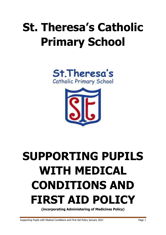# **St. Theresa's Catholic Primary School**





# **SUPPORTING PUPILS WITH MEDICAL CONDITIONS AND FIRST AID POLICY**

**(incorporating Administering of Medicines Policy)**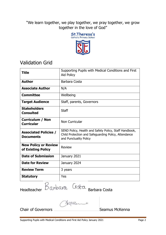"We learn together, we play together, we pray together, we grow together in the love of God"



# Validation Grid

| <b>Title</b>                                      | Supporting Pupils with Medical Conditions and First<br>Aid Policy                                                                        |  |  |
|---------------------------------------------------|------------------------------------------------------------------------------------------------------------------------------------------|--|--|
| <b>Author</b>                                     | Barbara Costa                                                                                                                            |  |  |
| <b>Associate Author</b>                           | N/A                                                                                                                                      |  |  |
| <b>Committee</b>                                  | Wellbeing                                                                                                                                |  |  |
| <b>Target Audience</b>                            | Staff, parents, Governors                                                                                                                |  |  |
| <b>Stakeholders</b><br><b>Consulted</b>           | <b>Staff</b>                                                                                                                             |  |  |
| <b>Curriculum / Non</b><br><b>Curricular</b>      | Non Curricular                                                                                                                           |  |  |
| <b>Associated Policies /</b><br><b>Documents</b>  | SEND Policy, Health and Safety Policy, Staff Handbook,<br>Child Protection and Safeguarding Policy, Attendance<br>and Punctuality Policy |  |  |
| <b>New Policy or Review</b><br>of Existing Policy | <b>Review</b>                                                                                                                            |  |  |
| <b>Date of Submission</b>                         | January 2021                                                                                                                             |  |  |
| <b>Date for Review</b>                            | January 2024                                                                                                                             |  |  |
| <b>Review Term</b>                                | 3 years                                                                                                                                  |  |  |
| <b>Statutory</b>                                  | Yes                                                                                                                                      |  |  |

Headteacher Barbara Costa Barbara Costa

Chair of Governors **Seamus McKenna**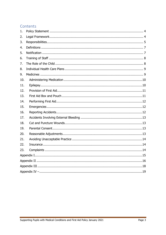# Contents

| 1.  |  |  |  |  |  |  |
|-----|--|--|--|--|--|--|
| 2.  |  |  |  |  |  |  |
| 3.  |  |  |  |  |  |  |
| 4.  |  |  |  |  |  |  |
| 5.  |  |  |  |  |  |  |
| 6.  |  |  |  |  |  |  |
| 7.  |  |  |  |  |  |  |
| 8.  |  |  |  |  |  |  |
| 9.  |  |  |  |  |  |  |
| 10. |  |  |  |  |  |  |
| 11. |  |  |  |  |  |  |
| 12. |  |  |  |  |  |  |
| 13. |  |  |  |  |  |  |
| 14. |  |  |  |  |  |  |
| 15. |  |  |  |  |  |  |
| 16. |  |  |  |  |  |  |
| 17. |  |  |  |  |  |  |
| 18. |  |  |  |  |  |  |
| 19. |  |  |  |  |  |  |
| 20. |  |  |  |  |  |  |
| 21. |  |  |  |  |  |  |
| 22. |  |  |  |  |  |  |
| 23. |  |  |  |  |  |  |
|     |  |  |  |  |  |  |
|     |  |  |  |  |  |  |
|     |  |  |  |  |  |  |
|     |  |  |  |  |  |  |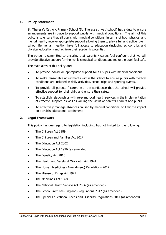# <span id="page-3-0"></span>**1. Policy Statement**

St. Theresa's Catholic Primary School (St. Theresa's / we / school) has a duty to ensure arrangements are in place to support pupils with medical conditions. The aim of this policy is to ensure that all pupils with medical conditions, in terms of both physical and mental health, receive appropriate support allowing them to play a full and active role in school life, remain healthy, have full access to education (including school trips and physical education) and achieve their academic potential.

The school is committed to ensuring that parents / carers feel confident that we will provide effective support for their child's medical condition, and make the pupil feel safe.

The main aims of this policy are:

- To provide individual, appropriate support for all pupils with medical conditions.
- To make reasonable adjustments within the school to ensure pupils with medical conditions are included in daily activities, school trips and sporting events.
- To provide all parents / carers with the confidence that the school will provide effective support for their child and ensure their safety.
- To establish relationships with relevant local health services in the implementation of effective support, as well as valuing the views of parents / carers and pupils.
- To effectively manage absences caused by medical conditions, to limit the impact on a child's educational attainment.

#### <span id="page-3-1"></span>**2. Legal Framework**

This policy has due regard to legislation including, but not limited to, the following:

- The Children Act 1989
- The Children and Families Act 2014
- The Education Act 2002
- The Education Act 1996 (as amended)
- The Equality Act 2010
- The Health and Safety at Work etc. Act 1974
- The Human Medicines (Amendment) Regulations 2017
- The Misuse of Drugs Act 1971
- The Medicines Act 1968
- The National Health Service Act 2006 (as amended)
- The School Premises (England) Regulations 2012 (as amended)
- The Special Educational Needs and Disability Regulations 2014 (as amended)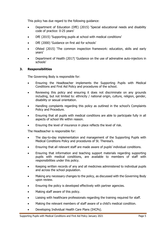This policy has due regard to the following guidance:

- Department of Education (DfE) (2015) 'Special educational needs and disability code of practice: 0-25 years'
- DfE (2015) 'Supporting pupils at school with medical conditions'
- DfE (2000) 'Guidance on first aid for schools'
- Ofsted (2015) 'The common inspection framework: education, skills and early years'
- Department of Health (2017) 'Guidance on the use of adrenaline auto-injectors in schools'

# <span id="page-4-0"></span>**3. Responsibilities**

The Governing Body is responsible for:

- Ensuring the Headteacher implements the Supporting Pupils with Medical Conditions and First Aid Policy and procedures of the school.
- Reviewing this policy and ensuring it does not discriminate on any grounds including, but not limited to: ethnicity / national origin, culture, religion, gender, disability or sexual orientation.
- Handling complaints regarding this policy as outlined in the school's Complaints Policy and Procedure.
- Ensuring that all pupils with medical conditions are able to participate fully in all aspects of school life within reason.
- Ensuring the level of insurance in place reflects the level of risk.

The Headteacher is responsible for:

- The day-to-day implementation and management of the Supporting Pupils with Medical Conditions Policy and procedures of St. Theresa's.
- Ensuring that all relevant staff are made aware of pupils' individual conditions.
- Ensuring that information and teaching support materials regarding supporting pupils with medical conditions, are available to members of staff with responsibilities under this policy.
- Keeping written records of any and all medicines administered to individual pupils and across the school population.
- Making any necessary changes to the policy, as discussed with the Governing Body upon review.
- Ensuring the policy is developed effectively with partner agencies.
- Making staff aware of this policy.
- Liaising with healthcare professionals regarding the training required for staff.
- Making the relevant members of staff aware of a child's medical condition.
- Developing Individual Health Care Plans (IHCPs).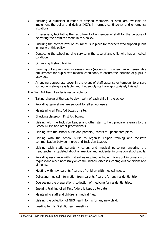- Ensuring a sufficient number of trained members of staff are available to implement the policy and deliver IHCPs in normal, contingency and emergency situations.
- If necessary, facilitating the recruitment of a member of staff for the purpose of delivering the promises made in this policy.
- Ensuring the correct level of insurance is in place for teachers who support pupils in line with this policy.
- Contacting the school nursing service in the case of any child who has a medical condition.
- Organising first-aid training.
- Carrying out appropriate risk assessments (Appendix IV) when making reasonable adjustments for pupils with medical conditions, to ensure the inclusion of pupils in activities.
- Arranging appropriate cover in the event of staff absence or turnover to ensure someone is always available, and that supply staff are appropriately briefed.

The First Aid Team Leader is responsible for:

- Taking charge of the day to day health of each child in the school.
- Providing general welfare support for all school users.
- Maintaining all First Aid boxes on site.
- Checking classroom First Aid boxes.
- Liaising with the Inclusion Leader and other staff to help prepare referrals to the School Nurse and other professionals.
- Liaising with the school nurse and parents / carers to update care plans.
- Liaising with the school nurse to organise Epipen training and facilitate communication between nurse and Inclusion Leader.
- Liaising with staff, parents / carers and medical personnel ensuring the Headteacher is updated about all medical and incidental information about pupils.
- Providing assistance with first aid as required including giving out information on request and when necessary on communicable diseases, contagious conditions and ailments.
- Meeting with new parents / carers of children with medical needs.
- Collecting medical information from parents / carers for any residential trip.
- Overseeing the preparation / collection of medicine for residential trips.
- Ensuring training of all First Aiders is kept up to date.
- Maintaining staff and children's medical files.
- Liaising the collection of NHS health forms for any new child.
- Leading termly First Aid team meetings.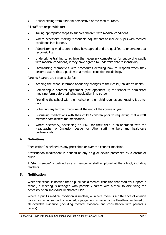Housekeeping from First Aid perspective of the medical room.

All staff are responsible for:

- Taking appropriate steps to support children with medical conditions.
- Where necessary, making reasonable adjustments to include pupils with medical conditions into lessons.
- Administering medication, if they have agreed and are qualified to undertake that responsibility.
- Undertaking training to achieve the necessary competency for supporting pupils with medical conditions, if they have agreed to undertake that responsibility.
- Familiarising themselves with procedures detailing how to respond when they become aware that a pupil with a medical condition needs help.

Parents / carers are responsible for:

- Keeping the school informed about any changes to their child / children's health.
- Completing a parental agreement (see Appendix II) for school to administer medicine form before bringing medication into school.
- Providing the school with the medication their child requires and keeping it up-todate.
- Collecting any leftover medicine at the end of the course or year.
- Discussing medications with their child / children prior to requesting that a staff member administers the medication.
- Where necessary, developing an IHCP for their child in collaboration with the Headteacher or Inclusion Leader or other staff members and healthcare professionals.

# <span id="page-6-0"></span>**4. Definitions**

"Medication" is defined as any prescribed or over the counter medicine.

"Prescription medication" is defined as any drug or device prescribed by a doctor or nurse.

A "staff member" is defined as any member of staff employed at the school, including teachers.

# <span id="page-6-1"></span>**5. Notification**

When the school is notified that a pupil has a medical condition that requires support in school, a meeting is arranged with parents / carers with a view to discussing the necessity of an Individual Healthcare Plan.

Where a pupil's medical condition is unclear, or where there is a difference of opinion concerning what support is required, a judgement is made by the Headteacher based on all available evidence (including medical evidence and consultation with parents / carers).

Supporting Pupils with Medical Conditions and First Aid Policy January 2021 **Page 7** Page 7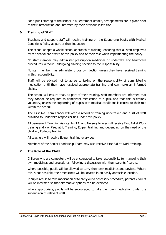For a pupil starting at the school in a September uptake, arrangements are in place prior to their introduction and informed by their previous institution.

# <span id="page-7-0"></span>**6. Training of Staff**

Teachers and support staff will receive training on the Supporting Pupils with Medical Conditions Policy as part of their induction.

The school adopts a whole-school approach to training, ensuring that all staff employed by the school are aware of this policy and of their role when implementing the policy.

No staff member may administer prescription medicines or undertake any healthcare procedures without undergoing training specific to the responsibility.

No staff member may administer drugs by injection unless they have received training in this responsibility.

Staff will be advised not to agree to taking on the responsibility of administering medication until they have received appropriate training and can make an informed choice.

The school will ensure that, as part of their training, staff members are informed that they cannot be required to administer medication to pupils, and that this is entirely voluntary, unless the supporting of pupils with medical conditions is central to their role within the school.

The First Aid Team Leader will keep a record of training undertaken and a list of staff qualified to undertake responsibilities under this policy.

All permanent Teaching Assistants (TA) and Nursery Nurses will receive First Aid at Work training and / or Paediatric Training, Epipen training and depending on the need of the children, Epilepsy training.

All teachers will receive Epipen training every year.

Members of the Senior Leadership Team may also receive First Aid at Work training.

# <span id="page-7-1"></span>**7. The Role of the Child**

Children who are competent will be encouraged to take responsibility for managing their own medicines and procedures, following a discussion with their parents / carers.

Where possible, pupils will be allowed to carry their own medicines and devices. Where this is not possible, their medicines will be located in an easily accessible location.

If pupils refuse to take medication or to carry out a necessary procedure, parents / carers will be informed so that alternative options can be explored.

Where appropriate, pupils will be encouraged to take their own medication under the supervision of relevant staff.

Supporting Pupils with Medical Conditions and First Aid Policy January 2021 **Page 8** Page 8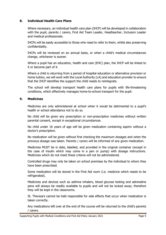# <span id="page-8-0"></span>**8. Individual Health Care Plans**

Where necessary, an individual health care plan (IHCP) will be developed in collaboration with the pupil, parents / carers, First Aid Team Leader, Headteacher, Inclusion Leader and medical professionals.

IHCPs will be easily accessible to those who need to refer to them, whilst also preserving confidentiality.

IHCPs will be reviewed on an annual basis, or when a child's medical circumstances change, whichever is sooner.

Where a pupil has an education, health and care (EHC) plan, the IHCP will be linked to it or become part of it.

Where a child is returning from a period of hospital education or alternative provision or home tuition, we will work with the Local Authority (LA) and education provider to ensure that the IHCP identifies the support the child needs to reintegrate.

The school will develop transport health care plans for pupils with life-threatening conditions, which effectively manages home-to-school transport for the pupil.

# <span id="page-8-1"></span>**9. Medicines**

Medicines are only administered at school when it would be detrimental to a pupil's health or school attendance not to do so.

No child will be given any prescription or non-prescription medicines without written parental consent, except in exceptional circumstances.

No child under 16 years of age will be given medication containing aspirin without a doctor's prescription.

No medication will be given without first checking the maximum dosages and when the previous dosage was taken. Parents / carers will be informed of any given medication.

Medicines MUST be in date, labelled, and provided in the original container (except in the case of insulin which may come in a pen or pump) with dosage instructions. Medicines which do not meet these criteria will not be administered.

Controlled drugs may only be taken on school premises by the individual to whom they have been prescribed.

Some medication will be stored in the First Aid room (i.e. medicine which needs to be refrigerated).

Medicines and devices such as asthma inhalers, blood glucose testing and adrenaline pens will always be readily available to pupils and will not be locked away; therefore they will be kept in the classrooms.

St. Theresa's cannot be held responsible for side effects that occur when medication is taken correctly.

Any medications left over at the end of the course will be returned to the child's parents / carers.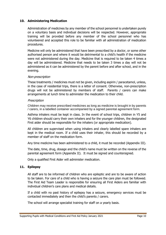# <span id="page-9-0"></span>**10. Administering Medication**

Administration of medicines by any member of the school personnel is undertaken purely on a voluntary basis and individual decisions will be respected. However, appropriate training will be provided before any member of the school personnel who has volunteered and accepted this role to be familiar with all administration of medication procedures.

Medicine will only be administered that have been prescribed by a doctor, or some other authorised person and where it would be detrimental to a child's health if the medicine were not administered during the day. Medicine that is required to be taken 4 times a day will be administered. Medicine that needs to be taken 3 times a day will not be administered as it can be administered by the parent before and after school, and in the evening.

#### Non-prescription

These treatments / medicines must not be given, including aspirin / paracetamol, unless, in the case of residential trips, there is a letter of consent. Otherwise, non-prescription drugs will not be administered by members of staff. Parents / carers can make arrangements at lunch time to administer the medication to their child.

#### **Prescription**

Children may receive prescribed medicines as long as medicine is brought in by parents / carers, in a labelled container accompanied by a signed parental agreement form.

Asthma inhalers must be kept in class. In the event of school trips, children in Y5 and Y6 children should carry their own inhalers and for the younger children, the designated First aider should be responsible for the inhalers (or appropriate medication).

All children are supervised when using inhalers and clearly labelled spare inhalers are kept in the medical room. If a child uses their inhaler, this should be recorded by a member of staff on the medication form.

Any time medicine has been administered to a child, it must be recorded (Appendix III).

The date, time, drug, dosage and the child's name must be written on the reverse of the parental agreement form (Appendix II). It must be signed and countersigned.

Only a qualified First Aider will administer medication.

# <span id="page-9-1"></span>**11. Epilepsy**

All staff are to be informed of children who are epileptic and are to be aware of action to be taken. For care of a child who is having a seizure the care plan must be followed. The First Aid Team Leader is responsible for ensuring all First Aiders are familiar with individual children's care plans and medical details.

If a child with no past history of epilepsy has a seizure, emergency services must be contacted immediately and then the child's parents / carers.

The school will arrange specialist training for staff on a yearly basis.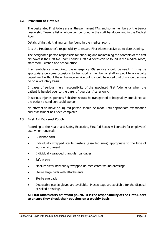# <span id="page-10-0"></span>**12. Provision of First Aid**

The designated First Aiders are all the permanent TAs, and some members of the Senior Leadership Team, a list of whom can be found in the staff handbook and in the Medical Room.

Details of first aid training can be found in the medical room.

It is the Headteacher's responsibility to ensure First Aiders receive up to date training.

The designated person responsible for checking and maintaining the contents of the first aid boxes is the First Aid Team Leader. First aid boxes can be found in the medical room, staff room, kitchen and school office.

If an ambulance is required, the emergency 999 service should be used. It may be appropriate on some occasions to transport a member of staff or pupil to a casualty department without the ambulance service but it should be noted that this should always be on a voluntary basis.

In cases of serious injury, responsibility of the appointed First Aider ends when the patient is handed over to the parent / guardian / carer only.

In serious injuries, persons / children should be transported to hospital by ambulance as the patient's condition could worsen.

No attempt to move an injured person should be made until appropriate examination and assessment has been completed.

# <span id="page-10-1"></span>**13. First Aid Box and Pouch**

According to the Health and Safety Executive, First Aid Boxes will contain for employees' use, when required:

- Guidance card
- Individually wrapped sterile plasters (assorted sizes) appropriate to the type of work environment
- Individually wrapped triangular bandages
- Safety pins
- Medium sizes individually wrapped un-medicated wound dressings
- Sterile large pads with attachments
- Sterile eye pads
- Disposable plastic gloves are available. Plastic bags are available for the disposal of soiled dressings.

**All First Aiders carry a first aid pouch. It is the responsibility of the First Aiders to ensure they check their pouches on a weekly basis.**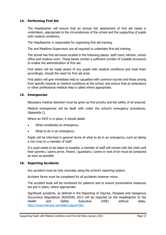# <span id="page-11-0"></span>**14. Performing First Aid**

The Headteacher will ensure that an annual risk assessment of first aid needs is undertaken, appropriate to the circumstances of the school and the supporting of pupils with medical conditions.

The Headteacher is responsible for organising first aid training.

TAs and Mealtime Supervisors are all required to undertake first-aid training.

The school has first aid boxes located in the following places: staff room, kitchen, school office and medical room. These boxes contain a sufficient number of suitable provisions to enable the administration of first aid.

First aiders will be made aware of any pupils with medical conditions and treat them accordingly, should the need for first aid arise.

First aiders will give immediate help to casualties with common injuries and those arising from specific hazards or medical conditions at the school, and ensure that an ambulance or other professional medical help is called where appropriate.

#### <span id="page-11-1"></span>**15. Emergencies**

Necessary medical attention must be given as first priority and the safety of all ensured.

Medical emergencies will be dealt with under the school's emergency procedures. (Appendix I).

Where an IHCP is in place, it should detail:

- What constitutes an emergency.
- What to do in an emergency.

Pupils will be informed in general terms of what to do in an emergency, such as taking a red cross to a member of staff.

If a pupil needs to be taken to hospital, a member of staff will remain with the child until their parents / carers arrive. Parent / guardians / carers or next of kin must be contacted as soon as possible.

#### <span id="page-11-2"></span>**16. Reporting Accidents**

Any accident must be fully recorded using the school's reporting system.

Accident forms must be completed for all accidents however minor.

The accident book will be monitored for patterns and to ensure preventative measures are put in place, where appropriate.

Significant accidents, as defined in the Reporting of Injuries, Diseases and Dangerous Occurrence Regulations (RIDDOR) 2013 will be reported by the Headteacher to the Health and Safety Executive (HSE) without delay. <http://www.hse.gov.uk/riddor/report.htm>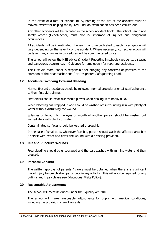In the event of a fatal or serious injury, nothing at the site of the accident must be moved, except for helping the injured, until an examination has been carried out.

Any other accidents will be recorded in the school accident book. The school health and safety officer (Headteacher) must also be informed of injuries and dangerous occurrences.

All accidents will be investigated; the length of time dedicated to each investigation will vary depending on the severity of the accident. Where necessary, corrective action will be taken; any changes in procedures will be communicated to staff.

The school will follow the HSE advice (Incident Reporting in schools (accidents, diseases and dangerous occurrences – Guidance for employers) for reporting accidents.

The First Aid team leader is responsible for bringing any concerns or patterns to the attention of the Headteacher and / or Designated Safeguarding Lead.

# <span id="page-12-0"></span>**17. Accidents Involving External Bleeding**

Normal first aid procedures should be followed; normal procedures entail staff adherence to their first aid training.

First Aiders should wear disposable gloves when dealing with bodily fluid.

When bleeding has stopped, blood should be washed off surrounding skin with plenty of water without disturbing the wound.

Splashes of blood into the eyes or mouth of another person should be washed out immediately with plenty of water.

Contaminated surfaces should be washed thoroughly.

In the case of small cuts, whenever feasible, person should wash the affected area him / herself with water and cover the wound with a dressing provided.

# <span id="page-12-1"></span>**18. Cut and Puncture Wounds**

Free bleeding should be encouraged and the part washed with running water and then dressed.

#### <span id="page-12-2"></span>**19. Parental Consent**

The written approval of parents / carers must be obtained when there is a significant risk of injury before children participate in any activity. This will also be required for any outings and trips (please see Educational Visits Policy).

#### <span id="page-12-3"></span>**20. Reasonable Adjustments**

The school will meet its duties under the Equality Act 2010.

The school will make reasonable adjustments for pupils with medical conditions, including the provision of auxiliary aids.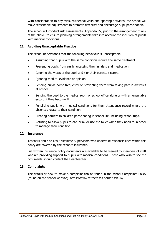With consideration to day trips, residential visits and sporting activities, the school will make reasonable adjustments to promote flexibility and encourage pupil participation.

The school will conduct risk assessments (Appendix IV) prior to the arrangement of any of the above, to ensure planning arrangements take into account the inclusion of pupils with medical conditions.

# <span id="page-13-0"></span>**21. Avoiding Unacceptable Practice**

The school understands that the following behaviour is unacceptable:

- Assuming that pupils with the same condition require the same treatment.
- Preventing pupils from easily accessing their inhalers and medication.
- Ignoring the views of the pupil and / or their parents / carers.
- Ignoring medical evidence or opinion.
- Sending pupils home frequently or preventing them from taking part in activities at school.
- Sending the pupil to the medical room or school office alone or with an unsuitable escort, if they become ill.
- Penalising pupils with medical conditions for their attendance record where the absences relate to their condition.
- Creating barriers to children participating in school life, including school trips.
- Refusing to allow pupils to eat, drink or use the toilet when they need to in order to manage their condition.

#### <span id="page-13-1"></span>**22. Insurance**

Teachers and / or TAs / Mealtime Supervisors who undertake responsibilities within this policy are covered by the school's insurance.

Full written insurance policy documents are available to be viewed by members of staff who are providing support to pupils with medical conditions. Those who wish to see the documents should contact the Headteacher.

# <span id="page-13-2"></span>**23. Complaints**

The details of how to make a complaint can be found in the school Complaints Policy (found on the school website).<https://www.st-theresas.barnet.sch.uk/>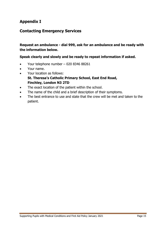# <span id="page-14-0"></span>**Appendix I**

# **Contacting Emergency Services**

# **Request an ambulance - dial 999, ask for an ambulance and be ready with the information below.**

# **Speak clearly and slowly and be ready to repeat information if asked.**

- Your telephone number 020 8346 88261
- Your name.
- Your location as follows:
- **St. Theresa's Catholic Primary School, East End Road, Finchley, London N3 2TD**
- The exact location of the patient within the school.
- The name of the child and a brief description of their symptoms.
- The best entrance to use and state that the crew will be met and taken to the patient.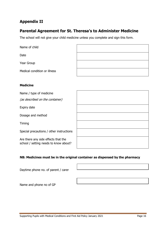# <span id="page-15-0"></span>**Appendix II**

# **Parental Agreement for St. Theresa's to Administer Medicine**

The school will not give your child medicine unless you complete and sign this form.

| Name of child                |  |
|------------------------------|--|
| Date                         |  |
| Year Group                   |  |
| Medical condition or illness |  |

# **Medicine**

Name / type of medicine

(as described on the container)

Expiry date

Dosage and method

Timing

Special precautions / other instructions

Are there any side effects that the school / setting needs to know about?

# **NB: Medicines must be in the original container as dispensed by the pharmacy**

Daytime phone no. of parent / carer

Name and phone no of GP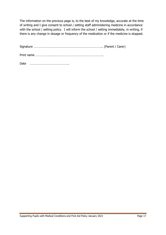The information on the previous page is, to the best of my knowledge, accurate at the time of writing and I give consent to school / setting staff administering medicine in accordance with the school / setting policy. I will inform the school / setting immediately, in writing, if there is any change in dosage or frequency of the medication or if the medicine is stopped.

| Date |  |
|------|--|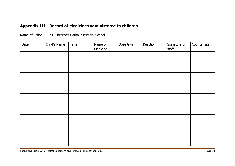# **Appendix III - Record of Medicines administered to children**

| Name of School: | St. Theresa's Catholic Primary School |
|-----------------|---------------------------------------|
|-----------------|---------------------------------------|

<span id="page-17-0"></span>

| Date | Child's Name | Time | Name of<br>Medicine | Dose Given | Reaction | Signature of<br>staff | Counter sign |
|------|--------------|------|---------------------|------------|----------|-----------------------|--------------|
|      |              |      |                     |            |          |                       |              |
|      |              |      |                     |            |          |                       |              |
|      |              |      |                     |            |          |                       |              |
|      |              |      |                     |            |          |                       |              |
|      |              |      |                     |            |          |                       |              |
|      |              |      |                     |            |          |                       |              |
|      |              |      |                     |            |          |                       |              |
|      |              |      |                     |            |          |                       |              |
|      |              |      |                     |            |          |                       |              |
|      |              |      |                     |            |          |                       |              |